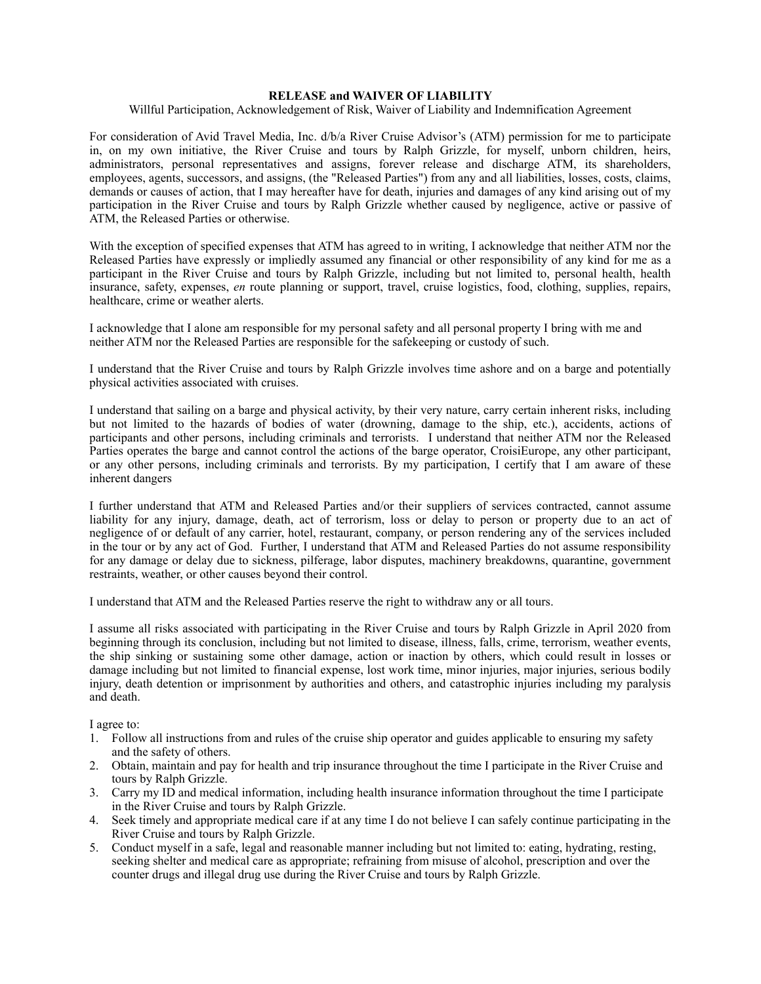## **RELEASE and WAIVER OF LIABILITY**

## Willful Participation, Acknowledgement of Risk, Waiver of Liability and Indemnification Agreement

For consideration of Avid Travel Media, Inc. d/b/a River Cruise Advisor's (ATM) permission for me to participate in, on my own initiative, the River Cruise and tours by Ralph Grizzle, for myself, unborn children, heirs, administrators, personal representatives and assigns, forever release and discharge ATM, its shareholders, employees, agents, successors, and assigns, (the "Released Parties") from any and all liabilities, losses, costs, claims, demands or causes of action, that I may hereafter have for death, injuries and damages of any kind arising out of my participation in the River Cruise and tours by Ralph Grizzle whether caused by negligence, active or passive of ATM, the Released Parties or otherwise.

With the exception of specified expenses that ATM has agreed to in writing, I acknowledge that neither ATM nor the Released Parties have expressly or impliedly assumed any financial or other responsibility of any kind for me as a participant in the River Cruise and tours by Ralph Grizzle, including but not limited to, personal health, health insurance, safety, expenses, *en* route planning or support, travel, cruise logistics, food, clothing, supplies, repairs, healthcare, crime or weather alerts.

I acknowledge that I alone am responsible for my personal safety and all personal property I bring with me and neither ATM nor the Released Parties are responsible for the safekeeping or custody of such.

I understand that the River Cruise and tours by Ralph Grizzle involves time ashore and on a barge and potentially physical activities associated with cruises.

I understand that sailing on a barge and physical activity, by their very nature, carry certain inherent risks, including but not limited to the hazards of bodies of water (drowning, damage to the ship, etc.), accidents, actions of participants and other persons, including criminals and terrorists. I understand that neither ATM nor the Released Parties operates the barge and cannot control the actions of the barge operator, CroisiEurope, any other participant, or any other persons, including criminals and terrorists. By my participation, I certify that I am aware of these inherent dangers

I further understand that ATM and Released Parties and/or their suppliers of services contracted, cannot assume liability for any injury, damage, death, act of terrorism, loss or delay to person or property due to an act of negligence of or default of any carrier, hotel, restaurant, company, or person rendering any of the services included in the tour or by any act of God. Further, I understand that ATM and Released Parties do not assume responsibility for any damage or delay due to sickness, pilferage, labor disputes, machinery breakdowns, quarantine, government restraints, weather, or other causes beyond their control.

I understand that ATM and the Released Parties reserve the right to withdraw any or all tours.

I assume all risks associated with participating in the River Cruise and tours by Ralph Grizzle in April 2020 from beginning through its conclusion, including but not limited to disease, illness, falls, crime, terrorism, weather events, the ship sinking or sustaining some other damage, action or inaction by others, which could result in losses or damage including but not limited to financial expense, lost work time, minor injuries, major injuries, serious bodily injury, death detention or imprisonment by authorities and others, and catastrophic injuries including my paralysis and death.

I agree to:

- 1. Follow all instructions from and rules of the cruise ship operator and guides applicable to ensuring my safety and the safety of others.
- 2. Obtain, maintain and pay for health and trip insurance throughout the time I participate in the River Cruise and tours by Ralph Grizzle.
- 3. Carry my ID and medical information, including health insurance information throughout the time I participate in the River Cruise and tours by Ralph Grizzle.
- 4. Seek timely and appropriate medical care if at any time I do not believe I can safely continue participating in the River Cruise and tours by Ralph Grizzle.
- 5. Conduct myself in a safe, legal and reasonable manner including but not limited to: eating, hydrating, resting, seeking shelter and medical care as appropriate; refraining from misuse of alcohol, prescription and over the counter drugs and illegal drug use during the River Cruise and tours by Ralph Grizzle.